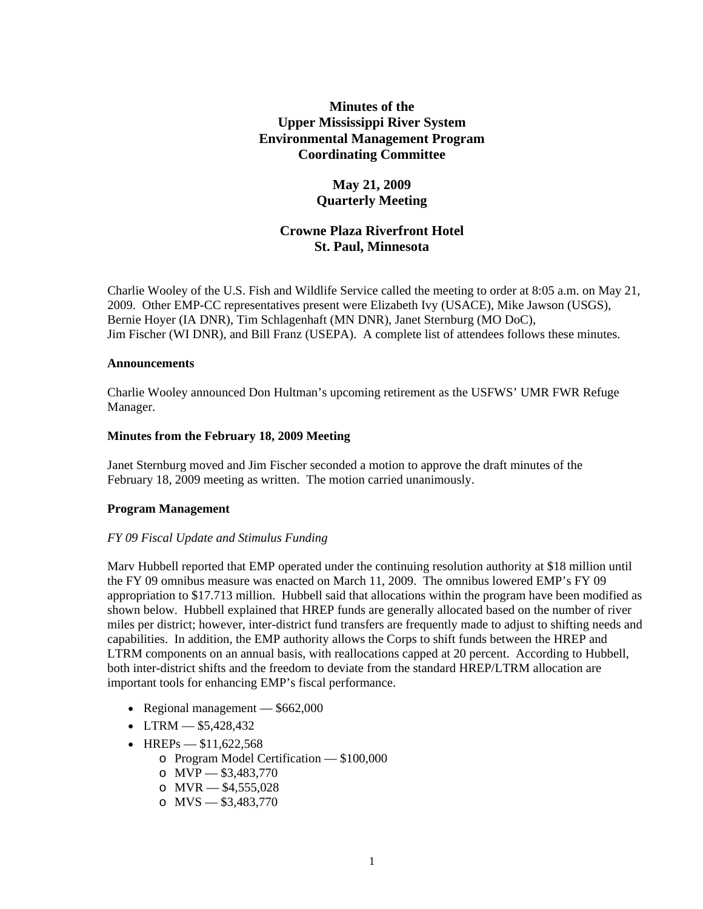# **Minutes of the Upper Mississippi River System Environmental Management Program Coordinating Committee**

## **May 21, 2009 Quarterly Meeting**

# **Crowne Plaza Riverfront Hotel St. Paul, Minnesota**

Charlie Wooley of the U.S. Fish and Wildlife Service called the meeting to order at 8:05 a.m. on May 21, 2009. Other EMP-CC representatives present were Elizabeth Ivy (USACE), Mike Jawson (USGS), Bernie Hoyer (IA DNR), Tim Schlagenhaft (MN DNR), Janet Sternburg (MO DoC), Jim Fischer (WI DNR), and Bill Franz (USEPA). A complete list of attendees follows these minutes.

### **Announcements**

Charlie Wooley announced Don Hultman's upcoming retirement as the USFWS' UMR FWR Refuge Manager.

## **Minutes from the February 18, 2009 Meeting**

Janet Sternburg moved and Jim Fischer seconded a motion to approve the draft minutes of the February 18, 2009 meeting as written. The motion carried unanimously.

## **Program Management**

#### *FY 09 Fiscal Update and Stimulus Funding*

Marv Hubbell reported that EMP operated under the continuing resolution authority at \$18 million until the FY 09 omnibus measure was enacted on March 11, 2009. The omnibus lowered EMP's FY 09 appropriation to \$17.713 million. Hubbell said that allocations within the program have been modified as shown below. Hubbell explained that HREP funds are generally allocated based on the number of river miles per district; however, inter-district fund transfers are frequently made to adjust to shifting needs and capabilities. In addition, the EMP authority allows the Corps to shift funds between the HREP and LTRM components on an annual basis, with reallocations capped at 20 percent. According to Hubbell, both inter-district shifts and the freedom to deviate from the standard HREP/LTRM allocation are important tools for enhancing EMP's fiscal performance.

- Regional management  $-$  \$662,000
- LTRM  $-$  \$5,428,432
- HREPs  $$11,622,568$ 
	- o Program Model Certification \$100,000
	- o  $MVP = $3,483,770$
	- o  $MVR = $4,555,028$
	- o  $MVS = $3,483,770$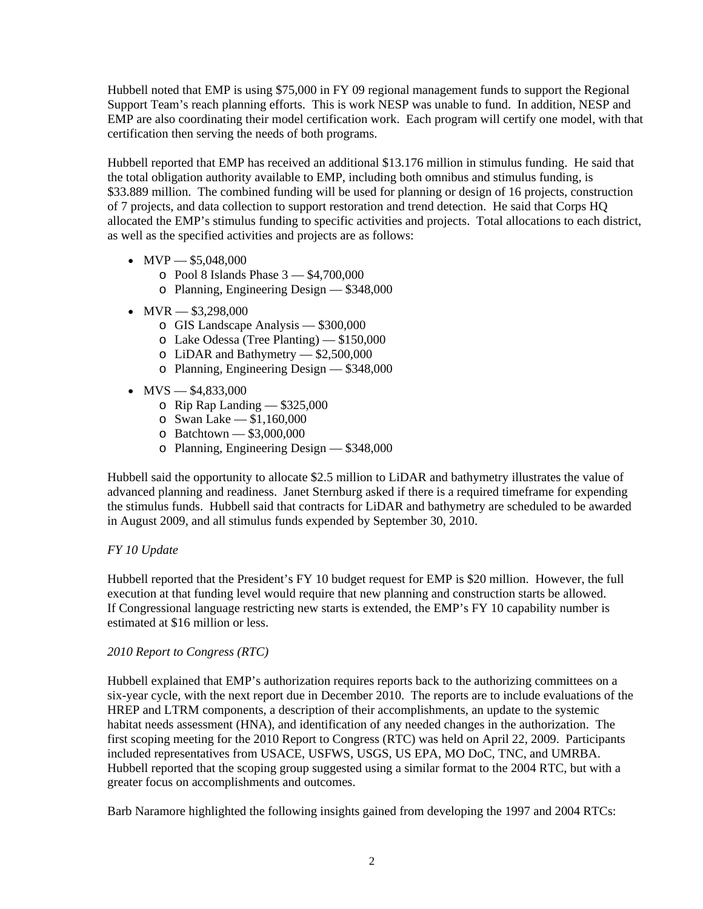Hubbell noted that EMP is using \$75,000 in FY 09 regional management funds to support the Regional Support Team's reach planning efforts. This is work NESP was unable to fund. In addition, NESP and EMP are also coordinating their model certification work. Each program will certify one model, with that certification then serving the needs of both programs.

Hubbell reported that EMP has received an additional \$13.176 million in stimulus funding. He said that the total obligation authority available to EMP, including both omnibus and stimulus funding, is \$33.889 million. The combined funding will be used for planning or design of 16 projects, construction of 7 projects, and data collection to support restoration and trend detection. He said that Corps HQ allocated the EMP's stimulus funding to specific activities and projects. Total allocations to each district, as well as the specified activities and projects are as follows:

- $MVP = $5,048,000$ 
	- o Pool 8 Islands Phase 3 \$4,700,000
	- o Planning, Engineering Design \$348,000
- $MVR = $3,298,000$ 
	- o GIS Landscape Analysis \$300,000
	- o Lake Odessa (Tree Planting) \$150,000
	- o LiDAR and Bathymetry \$2,500,000
	- o Planning, Engineering Design \$348,000
- $MVS = $4,833,000$ 
	- o Rip Rap Landing \$325,000
	- o Swan Lake \$1,160,000
	- o Batchtown \$3,000,000
	- o Planning, Engineering Design \$348,000

Hubbell said the opportunity to allocate \$2.5 million to LiDAR and bathymetry illustrates the value of advanced planning and readiness. Janet Sternburg asked if there is a required timeframe for expending the stimulus funds. Hubbell said that contracts for LiDAR and bathymetry are scheduled to be awarded in August 2009, and all stimulus funds expended by September 30, 2010.

## *FY 10 Update*

Hubbell reported that the President's FY 10 budget request for EMP is \$20 million. However, the full execution at that funding level would require that new planning and construction starts be allowed. If Congressional language restricting new starts is extended, the EMP's FY 10 capability number is estimated at \$16 million or less.

## *2010 Report to Congress (RTC)*

Hubbell explained that EMP's authorization requires reports back to the authorizing committees on a six-year cycle, with the next report due in December 2010. The reports are to include evaluations of the HREP and LTRM components, a description of their accomplishments, an update to the systemic habitat needs assessment (HNA), and identification of any needed changes in the authorization. The first scoping meeting for the 2010 Report to Congress (RTC) was held on April 22, 2009. Participants included representatives from USACE, USFWS, USGS, US EPA, MO DoC, TNC, and UMRBA. Hubbell reported that the scoping group suggested using a similar format to the 2004 RTC, but with a greater focus on accomplishments and outcomes.

Barb Naramore highlighted the following insights gained from developing the 1997 and 2004 RTCs: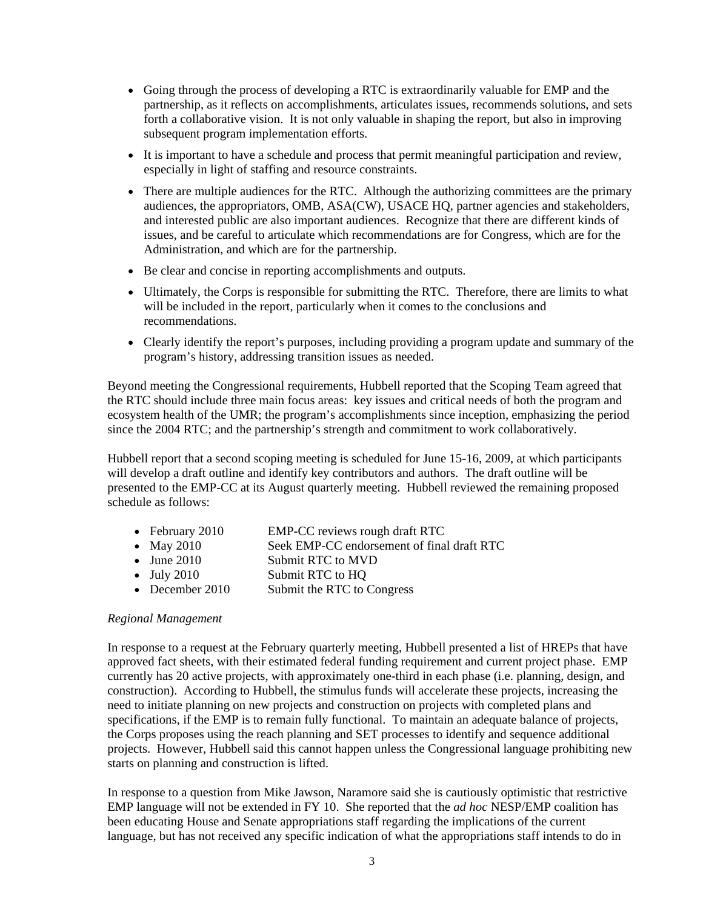- Going through the process of developing a RTC is extraordinarily valuable for EMP and the partnership, as it reflects on accomplishments, articulates issues, recommends solutions, and sets forth a collaborative vision. It is not only valuable in shaping the report, but also in improving subsequent program implementation efforts.
- It is important to have a schedule and process that permit meaningful participation and review, especially in light of staffing and resource constraints.
- There are multiple audiences for the RTC. Although the authorizing committees are the primary audiences, the appropriators, OMB, ASA(CW), USACE HQ, partner agencies and stakeholders, and interested public are also important audiences. Recognize that there are different kinds of issues, and be careful to articulate which recommendations are for Congress, which are for the Administration, and which are for the partnership.
- Be clear and concise in reporting accomplishments and outputs.
- Ultimately, the Corps is responsible for submitting the RTC. Therefore, there are limits to what will be included in the report, particularly when it comes to the conclusions and recommendations.
- Clearly identify the report's purposes, including providing a program update and summary of the program's history, addressing transition issues as needed.

Beyond meeting the Congressional requirements, Hubbell reported that the Scoping Team agreed that the RTC should include three main focus areas: key issues and critical needs of both the program and ecosystem health of the UMR; the program's accomplishments since inception, emphasizing the period since the 2004 RTC; and the partnership's strength and commitment to work collaboratively.

Hubbell report that a second scoping meeting is scheduled for June 15-16, 2009, at which participants will develop a draft outline and identify key contributors and authors. The draft outline will be presented to the EMP-CC at its August quarterly meeting. Hubbell reviewed the remaining proposed schedule as follows:

- February 2010 EMP-CC reviews rough draft RTC
- May 2010 Seek EMP-CC endorsement of final draft RTC
- June 2010 Submit RTC to MVD
- July 2010 Submit RTC to HQ
- December 2010 Submit the RTC to Congress

## *Regional Management*

In response to a request at the February quarterly meeting, Hubbell presented a list of HREPs that have approved fact sheets, with their estimated federal funding requirement and current project phase. EMP currently has 20 active projects, with approximately one-third in each phase (i.e. planning, design, and construction). According to Hubbell, the stimulus funds will accelerate these projects, increasing the need to initiate planning on new projects and construction on projects with completed plans and specifications, if the EMP is to remain fully functional. To maintain an adequate balance of projects, the Corps proposes using the reach planning and SET processes to identify and sequence additional projects. However, Hubbell said this cannot happen unless the Congressional language prohibiting new starts on planning and construction is lifted.

In response to a question from Mike Jawson, Naramore said she is cautiously optimistic that restrictive EMP language will not be extended in FY 10. She reported that the *ad hoc* NESP/EMP coalition has been educating House and Senate appropriations staff regarding the implications of the current language, but has not received any specific indication of what the appropriations staff intends to do in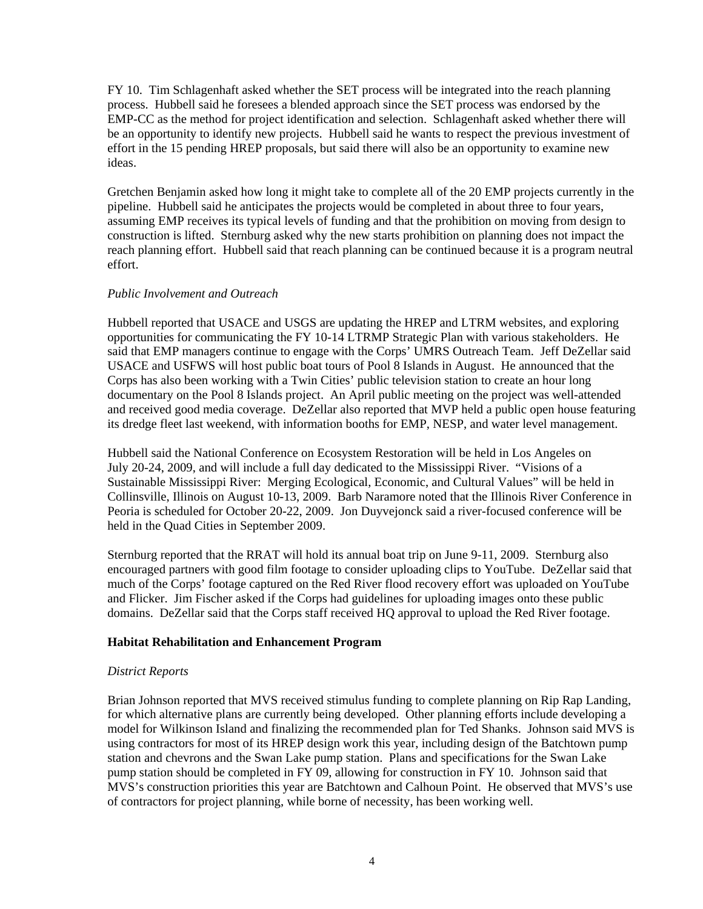FY 10. Tim Schlagenhaft asked whether the SET process will be integrated into the reach planning process. Hubbell said he foresees a blended approach since the SET process was endorsed by the EMP-CC as the method for project identification and selection. Schlagenhaft asked whether there will be an opportunity to identify new projects. Hubbell said he wants to respect the previous investment of effort in the 15 pending HREP proposals, but said there will also be an opportunity to examine new ideas.

Gretchen Benjamin asked how long it might take to complete all of the 20 EMP projects currently in the pipeline. Hubbell said he anticipates the projects would be completed in about three to four years, assuming EMP receives its typical levels of funding and that the prohibition on moving from design to construction is lifted. Sternburg asked why the new starts prohibition on planning does not impact the reach planning effort. Hubbell said that reach planning can be continued because it is a program neutral effort.

## *Public Involvement and Outreach*

Hubbell reported that USACE and USGS are updating the HREP and LTRM websites, and exploring opportunities for communicating the FY 10-14 LTRMP Strategic Plan with various stakeholders. He said that EMP managers continue to engage with the Corps' UMRS Outreach Team. Jeff DeZellar said USACE and USFWS will host public boat tours of Pool 8 Islands in August. He announced that the Corps has also been working with a Twin Cities' public television station to create an hour long documentary on the Pool 8 Islands project. An April public meeting on the project was well-attended and received good media coverage. DeZellar also reported that MVP held a public open house featuring its dredge fleet last weekend, with information booths for EMP, NESP, and water level management.

Hubbell said the National Conference on Ecosystem Restoration will be held in Los Angeles on July 20-24, 2009, and will include a full day dedicated to the Mississippi River. "Visions of a Sustainable Mississippi River: Merging Ecological, Economic, and Cultural Values" will be held in Collinsville, Illinois on August 10-13, 2009. Barb Naramore noted that the Illinois River Conference in Peoria is scheduled for October 20-22, 2009. Jon Duyvejonck said a river-focused conference will be held in the Quad Cities in September 2009.

Sternburg reported that the RRAT will hold its annual boat trip on June 9-11, 2009. Sternburg also encouraged partners with good film footage to consider uploading clips to YouTube. DeZellar said that much of the Corps' footage captured on the Red River flood recovery effort was uploaded on YouTube and Flicker. Jim Fischer asked if the Corps had guidelines for uploading images onto these public domains. DeZellar said that the Corps staff received HQ approval to upload the Red River footage.

## **Habitat Rehabilitation and Enhancement Program**

#### *District Reports*

Brian Johnson reported that MVS received stimulus funding to complete planning on Rip Rap Landing, for which alternative plans are currently being developed. Other planning efforts include developing a model for Wilkinson Island and finalizing the recommended plan for Ted Shanks. Johnson said MVS is using contractors for most of its HREP design work this year, including design of the Batchtown pump station and chevrons and the Swan Lake pump station. Plans and specifications for the Swan Lake pump station should be completed in FY 09, allowing for construction in FY 10. Johnson said that MVS's construction priorities this year are Batchtown and Calhoun Point. He observed that MVS's use of contractors for project planning, while borne of necessity, has been working well.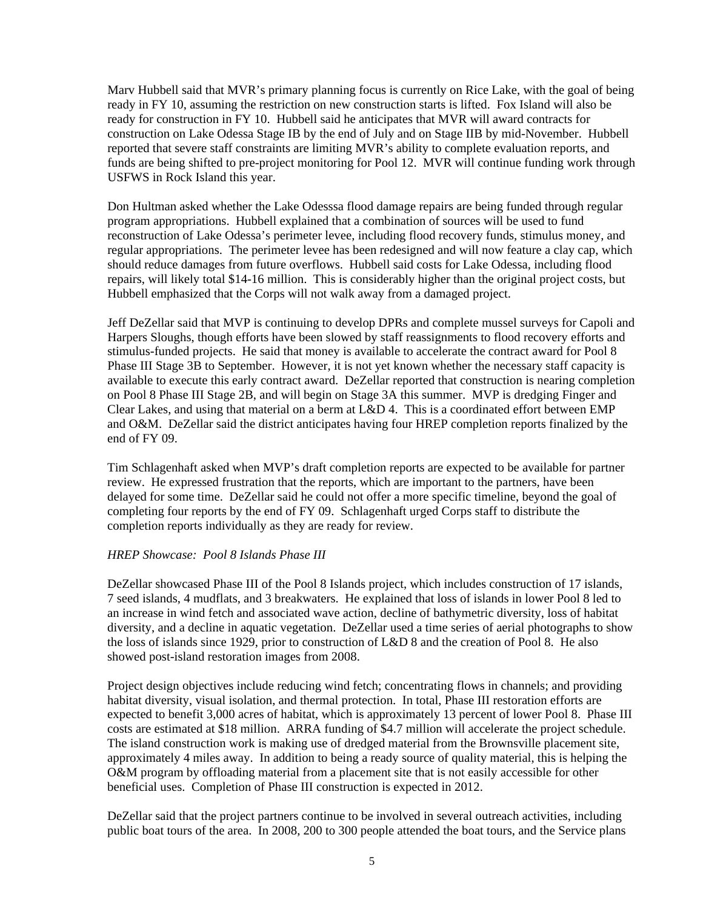Marv Hubbell said that MVR's primary planning focus is currently on Rice Lake, with the goal of being ready in FY 10, assuming the restriction on new construction starts is lifted. Fox Island will also be ready for construction in FY 10. Hubbell said he anticipates that MVR will award contracts for construction on Lake Odessa Stage IB by the end of July and on Stage IIB by mid-November. Hubbell reported that severe staff constraints are limiting MVR's ability to complete evaluation reports, and funds are being shifted to pre-project monitoring for Pool 12. MVR will continue funding work through USFWS in Rock Island this year.

Don Hultman asked whether the Lake Odesssa flood damage repairs are being funded through regular program appropriations. Hubbell explained that a combination of sources will be used to fund reconstruction of Lake Odessa's perimeter levee, including flood recovery funds, stimulus money, and regular appropriations. The perimeter levee has been redesigned and will now feature a clay cap, which should reduce damages from future overflows. Hubbell said costs for Lake Odessa, including flood repairs, will likely total \$14-16 million. This is considerably higher than the original project costs, but Hubbell emphasized that the Corps will not walk away from a damaged project.

Jeff DeZellar said that MVP is continuing to develop DPRs and complete mussel surveys for Capoli and Harpers Sloughs, though efforts have been slowed by staff reassignments to flood recovery efforts and stimulus-funded projects. He said that money is available to accelerate the contract award for Pool 8 Phase III Stage 3B to September. However, it is not yet known whether the necessary staff capacity is available to execute this early contract award. DeZellar reported that construction is nearing completion on Pool 8 Phase III Stage 2B, and will begin on Stage 3A this summer. MVP is dredging Finger and Clear Lakes, and using that material on a berm at L&D 4. This is a coordinated effort between EMP and O&M. DeZellar said the district anticipates having four HREP completion reports finalized by the end of FY 09.

Tim Schlagenhaft asked when MVP's draft completion reports are expected to be available for partner review. He expressed frustration that the reports, which are important to the partners, have been delayed for some time. DeZellar said he could not offer a more specific timeline, beyond the goal of completing four reports by the end of FY 09. Schlagenhaft urged Corps staff to distribute the completion reports individually as they are ready for review.

#### *HREP Showcase: Pool 8 Islands Phase III*

DeZellar showcased Phase III of the Pool 8 Islands project, which includes construction of 17 islands, 7 seed islands, 4 mudflats, and 3 breakwaters. He explained that loss of islands in lower Pool 8 led to an increase in wind fetch and associated wave action, decline of bathymetric diversity, loss of habitat diversity, and a decline in aquatic vegetation. DeZellar used a time series of aerial photographs to show the loss of islands since 1929, prior to construction of L&D 8 and the creation of Pool 8. He also showed post-island restoration images from 2008.

Project design objectives include reducing wind fetch; concentrating flows in channels; and providing habitat diversity, visual isolation, and thermal protection. In total, Phase III restoration efforts are expected to benefit 3,000 acres of habitat, which is approximately 13 percent of lower Pool 8. Phase III costs are estimated at \$18 million. ARRA funding of \$4.7 million will accelerate the project schedule. The island construction work is making use of dredged material from the Brownsville placement site, approximately 4 miles away. In addition to being a ready source of quality material, this is helping the O&M program by offloading material from a placement site that is not easily accessible for other beneficial uses. Completion of Phase III construction is expected in 2012.

DeZellar said that the project partners continue to be involved in several outreach activities, including public boat tours of the area. In 2008, 200 to 300 people attended the boat tours, and the Service plans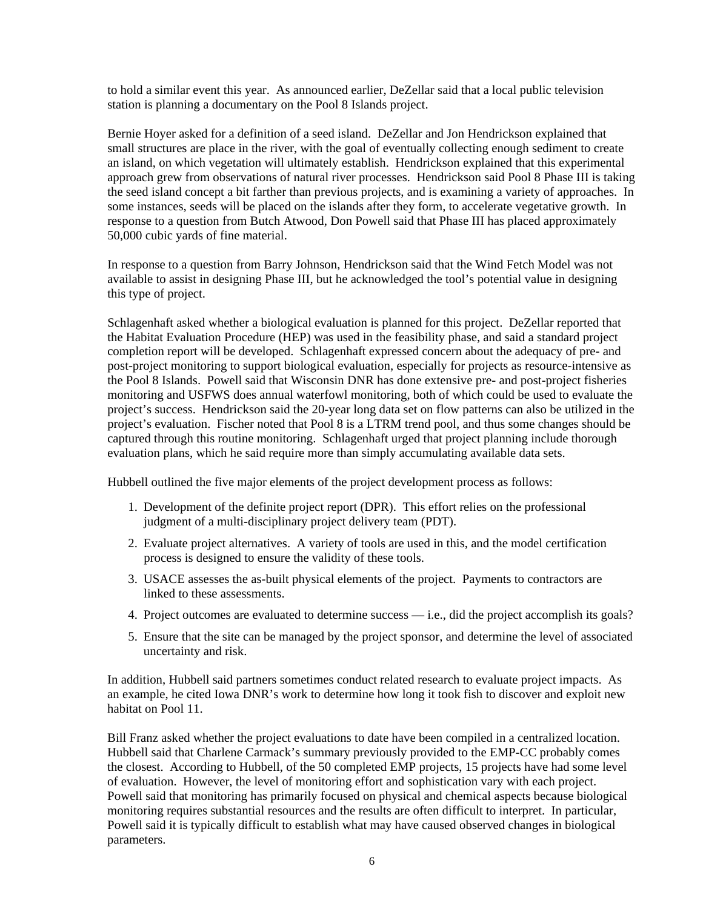to hold a similar event this year. As announced earlier, DeZellar said that a local public television station is planning a documentary on the Pool 8 Islands project.

Bernie Hoyer asked for a definition of a seed island. DeZellar and Jon Hendrickson explained that small structures are place in the river, with the goal of eventually collecting enough sediment to create an island, on which vegetation will ultimately establish. Hendrickson explained that this experimental approach grew from observations of natural river processes. Hendrickson said Pool 8 Phase III is taking the seed island concept a bit farther than previous projects, and is examining a variety of approaches. In some instances, seeds will be placed on the islands after they form, to accelerate vegetative growth. In response to a question from Butch Atwood, Don Powell said that Phase III has placed approximately 50,000 cubic yards of fine material.

In response to a question from Barry Johnson, Hendrickson said that the Wind Fetch Model was not available to assist in designing Phase III, but he acknowledged the tool's potential value in designing this type of project.

Schlagenhaft asked whether a biological evaluation is planned for this project. DeZellar reported that the Habitat Evaluation Procedure (HEP) was used in the feasibility phase, and said a standard project completion report will be developed. Schlagenhaft expressed concern about the adequacy of pre- and post-project monitoring to support biological evaluation, especially for projects as resource-intensive as the Pool 8 Islands. Powell said that Wisconsin DNR has done extensive pre- and post-project fisheries monitoring and USFWS does annual waterfowl monitoring, both of which could be used to evaluate the project's success. Hendrickson said the 20-year long data set on flow patterns can also be utilized in the project's evaluation. Fischer noted that Pool 8 is a LTRM trend pool, and thus some changes should be captured through this routine monitoring. Schlagenhaft urged that project planning include thorough evaluation plans, which he said require more than simply accumulating available data sets.

Hubbell outlined the five major elements of the project development process as follows:

- 1. Development of the definite project report (DPR). This effort relies on the professional judgment of a multi-disciplinary project delivery team (PDT).
- 2. Evaluate project alternatives. A variety of tools are used in this, and the model certification process is designed to ensure the validity of these tools.
- 3. USACE assesses the as-built physical elements of the project. Payments to contractors are linked to these assessments.
- 4. Project outcomes are evaluated to determine success i.e., did the project accomplish its goals?
- 5. Ensure that the site can be managed by the project sponsor, and determine the level of associated uncertainty and risk.

In addition, Hubbell said partners sometimes conduct related research to evaluate project impacts. As an example, he cited Iowa DNR's work to determine how long it took fish to discover and exploit new habitat on Pool 11.

Bill Franz asked whether the project evaluations to date have been compiled in a centralized location. Hubbell said that Charlene Carmack's summary previously provided to the EMP-CC probably comes the closest. According to Hubbell, of the 50 completed EMP projects, 15 projects have had some level of evaluation. However, the level of monitoring effort and sophistication vary with each project. Powell said that monitoring has primarily focused on physical and chemical aspects because biological monitoring requires substantial resources and the results are often difficult to interpret. In particular, Powell said it is typically difficult to establish what may have caused observed changes in biological parameters.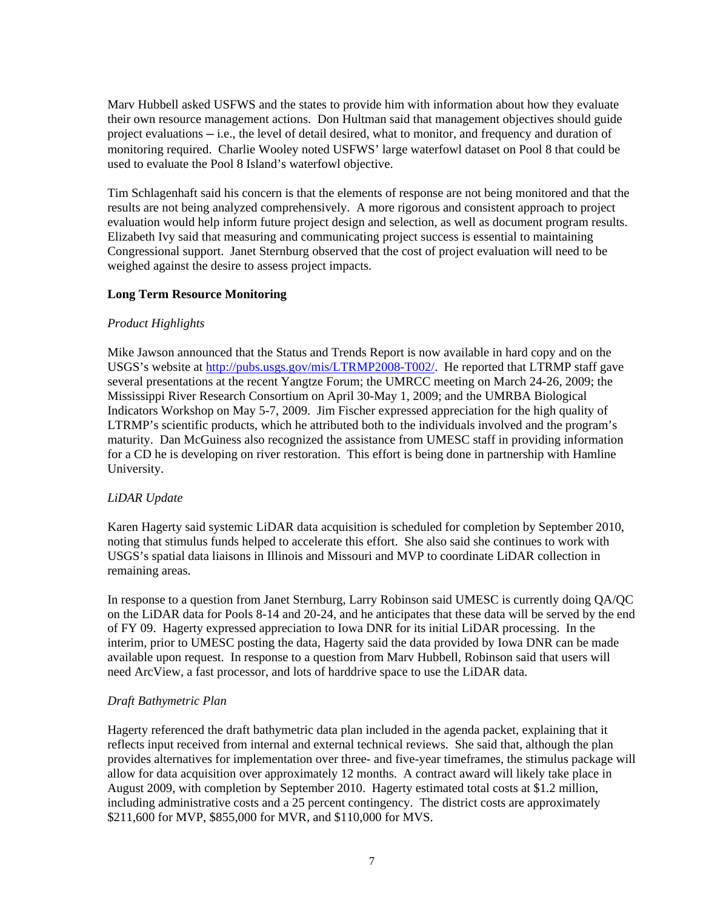Marv Hubbell asked USFWS and the states to provide him with information about how they evaluate their own resource management actions. Don Hultman said that management objectives should guide project evaluations — i.e., the level of detail desired, what to monitor, and frequency and duration of monitoring required. Charlie Wooley noted USFWS' large waterfowl dataset on Pool 8 that could be used to evaluate the Pool 8 Island's waterfowl objective.

Tim Schlagenhaft said his concern is that the elements of response are not being monitored and that the results are not being analyzed comprehensively. A more rigorous and consistent approach to project evaluation would help inform future project design and selection, as well as document program results. Elizabeth Ivy said that measuring and communicating project success is essential to maintaining Congressional support. Janet Sternburg observed that the cost of project evaluation will need to be weighed against the desire to assess project impacts.

## **Long Term Resource Monitoring**

## *Product Highlights*

Mike Jawson announced that the Status and Trends Report is now available in hard copy and on the USGS's website at [http://pubs.usgs.gov/mis/LTRMP2008-T002/.](http://pubs.usgs.gov/mis/LTRMP2008-T002/) He reported that LTRMP staff gave several presentations at the recent Yangtze Forum; the UMRCC meeting on March 24-26, 2009; the Mississippi River Research Consortium on April 30-May 1, 2009; and the UMRBA Biological Indicators Workshop on May 5-7, 2009. Jim Fischer expressed appreciation for the high quality of LTRMP's scientific products, which he attributed both to the individuals involved and the program's maturity. Dan McGuiness also recognized the assistance from UMESC staff in providing information for a CD he is developing on river restoration. This effort is being done in partnership with Hamline University.

## *LiDAR Update*

Karen Hagerty said systemic LiDAR data acquisition is scheduled for completion by September 2010, noting that stimulus funds helped to accelerate this effort. She also said she continues to work with USGS's spatial data liaisons in Illinois and Missouri and MVP to coordinate LiDAR collection in remaining areas.

In response to a question from Janet Sternburg, Larry Robinson said UMESC is currently doing QA/QC on the LiDAR data for Pools 8-14 and 20-24, and he anticipates that these data will be served by the end of FY 09. Hagerty expressed appreciation to Iowa DNR for its initial LiDAR processing. In the interim, prior to UMESC posting the data, Hagerty said the data provided by Iowa DNR can be made available upon request. In response to a question from Marv Hubbell, Robinson said that users will need ArcView, a fast processor, and lots of harddrive space to use the LiDAR data.

## *Draft Bathymetric Plan*

Hagerty referenced the draft bathymetric data plan included in the agenda packet, explaining that it reflects input received from internal and external technical reviews. She said that, although the plan provides alternatives for implementation over three- and five-year timeframes, the stimulus package will allow for data acquisition over approximately 12 months. A contract award will likely take place in August 2009, with completion by September 2010. Hagerty estimated total costs at \$1.2 million, including administrative costs and a 25 percent contingency. The district costs are approximately \$211,600 for MVP, \$855,000 for MVR, and \$110,000 for MVS.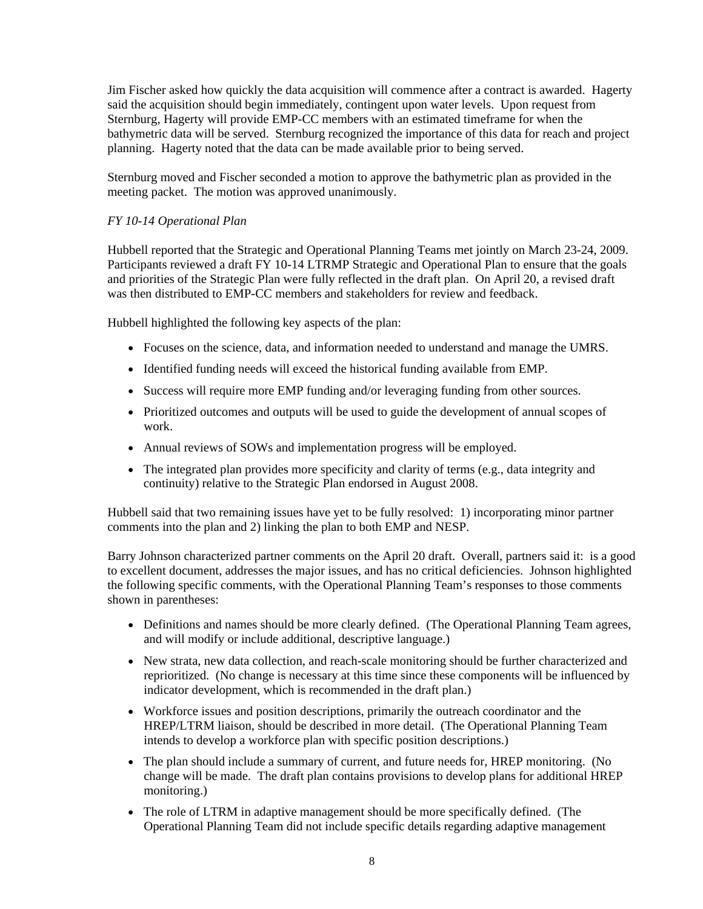Jim Fischer asked how quickly the data acquisition will commence after a contract is awarded. Hagerty said the acquisition should begin immediately, contingent upon water levels. Upon request from Sternburg, Hagerty will provide EMP-CC members with an estimated timeframe for when the bathymetric data will be served. Sternburg recognized the importance of this data for reach and project planning. Hagerty noted that the data can be made available prior to being served.

Sternburg moved and Fischer seconded a motion to approve the bathymetric plan as provided in the meeting packet. The motion was approved unanimously.

## *FY 10-14 Operational Plan*

Hubbell reported that the Strategic and Operational Planning Teams met jointly on March 23-24, 2009. Participants reviewed a draft FY 10-14 LTRMP Strategic and Operational Plan to ensure that the goals and priorities of the Strategic Plan were fully reflected in the draft plan. On April 20, a revised draft was then distributed to EMP-CC members and stakeholders for review and feedback.

Hubbell highlighted the following key aspects of the plan:

- Focuses on the science, data, and information needed to understand and manage the UMRS.
- Identified funding needs will exceed the historical funding available from EMP.
- Success will require more EMP funding and/or leveraging funding from other sources.
- Prioritized outcomes and outputs will be used to guide the development of annual scopes of work.
- Annual reviews of SOWs and implementation progress will be employed.
- The integrated plan provides more specificity and clarity of terms (e.g., data integrity and continuity) relative to the Strategic Plan endorsed in August 2008.

Hubbell said that two remaining issues have yet to be fully resolved: 1) incorporating minor partner comments into the plan and 2) linking the plan to both EMP and NESP.

Barry Johnson characterized partner comments on the April 20 draft. Overall, partners said it: is a good to excellent document, addresses the major issues, and has no critical deficiencies. Johnson highlighted the following specific comments, with the Operational Planning Team's responses to those comments shown in parentheses:

- Definitions and names should be more clearly defined. (The Operational Planning Team agrees, and will modify or include additional, descriptive language.)
- New strata, new data collection, and reach-scale monitoring should be further characterized and reprioritized. (No change is necessary at this time since these components will be influenced by indicator development, which is recommended in the draft plan.)
- Workforce issues and position descriptions, primarily the outreach coordinator and the HREP/LTRM liaison, should be described in more detail. (The Operational Planning Team intends to develop a workforce plan with specific position descriptions.)
- The plan should include a summary of current, and future needs for, HREP monitoring. (No change will be made. The draft plan contains provisions to develop plans for additional HREP monitoring.)
- The role of LTRM in adaptive management should be more specifically defined. (The Operational Planning Team did not include specific details regarding adaptive management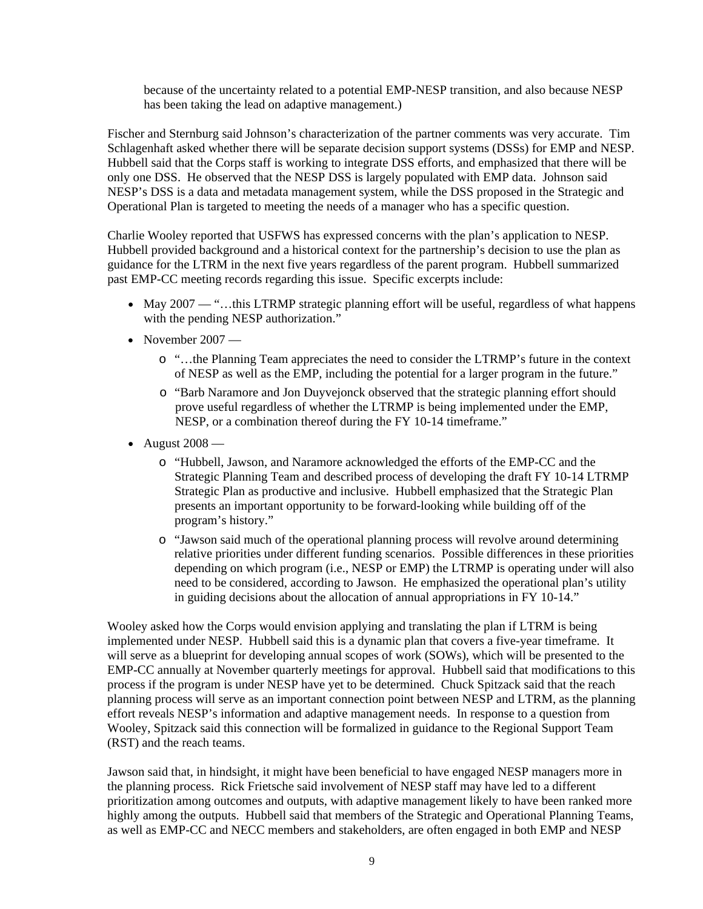because of the uncertainty related to a potential EMP-NESP transition, and also because NESP has been taking the lead on adaptive management.)

Fischer and Sternburg said Johnson's characterization of the partner comments was very accurate. Tim Schlagenhaft asked whether there will be separate decision support systems (DSSs) for EMP and NESP. Hubbell said that the Corps staff is working to integrate DSS efforts, and emphasized that there will be only one DSS. He observed that the NESP DSS is largely populated with EMP data. Johnson said NESP's DSS is a data and metadata management system, while the DSS proposed in the Strategic and Operational Plan is targeted to meeting the needs of a manager who has a specific question.

Charlie Wooley reported that USFWS has expressed concerns with the plan's application to NESP. Hubbell provided background and a historical context for the partnership's decision to use the plan as guidance for the LTRM in the next five years regardless of the parent program. Hubbell summarized past EMP-CC meeting records regarding this issue. Specific excerpts include:

- May 2007 "...this LTRMP strategic planning effort will be useful, regardless of what happens with the pending NESP authorization."
- November 2007
	- o "…the Planning Team appreciates the need to consider the LTRMP's future in the context of NESP as well as the EMP, including the potential for a larger program in the future."
	- o "Barb Naramore and Jon Duyvejonck observed that the strategic planning effort should prove useful regardless of whether the LTRMP is being implemented under the EMP, NESP, or a combination thereof during the FY 10-14 timeframe."
- August 2008
	- o "Hubbell, Jawson, and Naramore acknowledged the efforts of the EMP-CC and the Strategic Planning Team and described process of developing the draft FY 10-14 LTRMP Strategic Plan as productive and inclusive. Hubbell emphasized that the Strategic Plan presents an important opportunity to be forward-looking while building off of the program's history."
	- o "Jawson said much of the operational planning process will revolve around determining relative priorities under different funding scenarios. Possible differences in these priorities depending on which program (i.e., NESP or EMP) the LTRMP is operating under will also need to be considered, according to Jawson. He emphasized the operational plan's utility in guiding decisions about the allocation of annual appropriations in FY 10-14."

Wooley asked how the Corps would envision applying and translating the plan if LTRM is being implemented under NESP. Hubbell said this is a dynamic plan that covers a five-year timeframe. It will serve as a blueprint for developing annual scopes of work (SOWs), which will be presented to the EMP-CC annually at November quarterly meetings for approval. Hubbell said that modifications to this process if the program is under NESP have yet to be determined. Chuck Spitzack said that the reach planning process will serve as an important connection point between NESP and LTRM, as the planning effort reveals NESP's information and adaptive management needs. In response to a question from Wooley, Spitzack said this connection will be formalized in guidance to the Regional Support Team (RST) and the reach teams.

Jawson said that, in hindsight, it might have been beneficial to have engaged NESP managers more in the planning process. Rick Frietsche said involvement of NESP staff may have led to a different prioritization among outcomes and outputs, with adaptive management likely to have been ranked more highly among the outputs. Hubbell said that members of the Strategic and Operational Planning Teams, as well as EMP-CC and NECC members and stakeholders, are often engaged in both EMP and NESP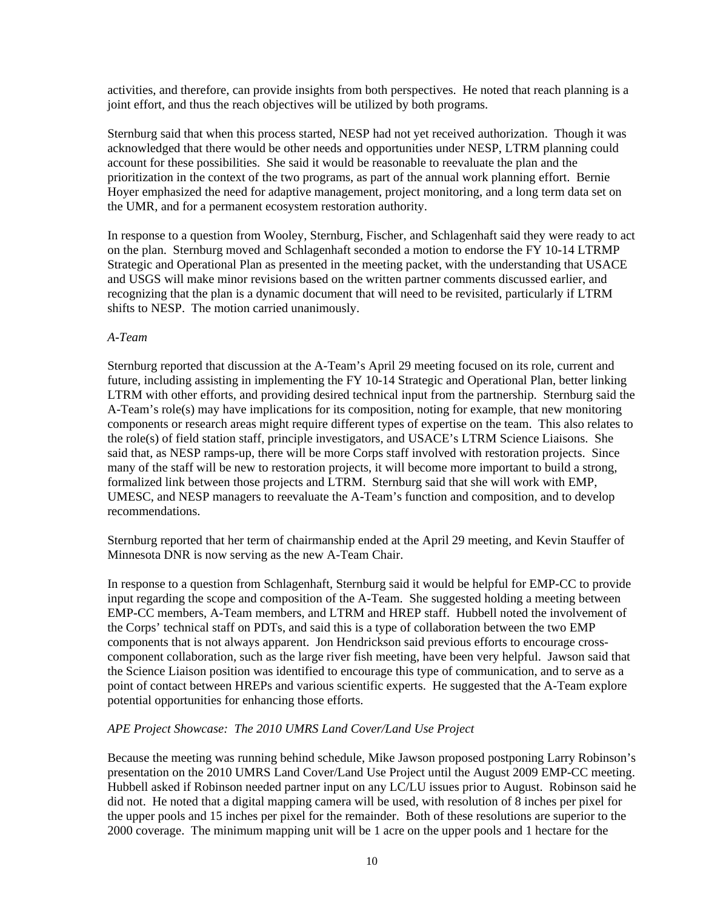activities, and therefore, can provide insights from both perspectives. He noted that reach planning is a joint effort, and thus the reach objectives will be utilized by both programs.

Sternburg said that when this process started, NESP had not yet received authorization. Though it was acknowledged that there would be other needs and opportunities under NESP, LTRM planning could account for these possibilities. She said it would be reasonable to reevaluate the plan and the prioritization in the context of the two programs, as part of the annual work planning effort. Bernie Hoyer emphasized the need for adaptive management, project monitoring, and a long term data set on the UMR, and for a permanent ecosystem restoration authority.

In response to a question from Wooley, Sternburg, Fischer, and Schlagenhaft said they were ready to act on the plan. Sternburg moved and Schlagenhaft seconded a motion to endorse the FY 10-14 LTRMP Strategic and Operational Plan as presented in the meeting packet, with the understanding that USACE and USGS will make minor revisions based on the written partner comments discussed earlier, and recognizing that the plan is a dynamic document that will need to be revisited, particularly if LTRM shifts to NESP. The motion carried unanimously.

### *A-Team*

Sternburg reported that discussion at the A-Team's April 29 meeting focused on its role, current and future, including assisting in implementing the FY 10-14 Strategic and Operational Plan, better linking LTRM with other efforts, and providing desired technical input from the partnership. Sternburg said the A-Team's role(s) may have implications for its composition, noting for example, that new monitoring components or research areas might require different types of expertise on the team. This also relates to the role(s) of field station staff, principle investigators, and USACE's LTRM Science Liaisons. She said that, as NESP ramps-up, there will be more Corps staff involved with restoration projects. Since many of the staff will be new to restoration projects, it will become more important to build a strong, formalized link between those projects and LTRM. Sternburg said that she will work with EMP, UMESC, and NESP managers to reevaluate the A-Team's function and composition, and to develop recommendations.

Sternburg reported that her term of chairmanship ended at the April 29 meeting, and Kevin Stauffer of Minnesota DNR is now serving as the new A-Team Chair.

In response to a question from Schlagenhaft, Sternburg said it would be helpful for EMP-CC to provide input regarding the scope and composition of the A-Team. She suggested holding a meeting between EMP-CC members, A-Team members, and LTRM and HREP staff. Hubbell noted the involvement of the Corps' technical staff on PDTs, and said this is a type of collaboration between the two EMP components that is not always apparent. Jon Hendrickson said previous efforts to encourage crosscomponent collaboration, such as the large river fish meeting, have been very helpful. Jawson said that the Science Liaison position was identified to encourage this type of communication, and to serve as a point of contact between HREPs and various scientific experts. He suggested that the A-Team explore potential opportunities for enhancing those efforts.

## *APE Project Showcase: The 2010 UMRS Land Cover/Land Use Project*

Because the meeting was running behind schedule, Mike Jawson proposed postponing Larry Robinson's presentation on the 2010 UMRS Land Cover/Land Use Project until the August 2009 EMP-CC meeting. Hubbell asked if Robinson needed partner input on any LC/LU issues prior to August. Robinson said he did not. He noted that a digital mapping camera will be used, with resolution of 8 inches per pixel for the upper pools and 15 inches per pixel for the remainder. Both of these resolutions are superior to the 2000 coverage. The minimum mapping unit will be 1 acre on the upper pools and 1 hectare for the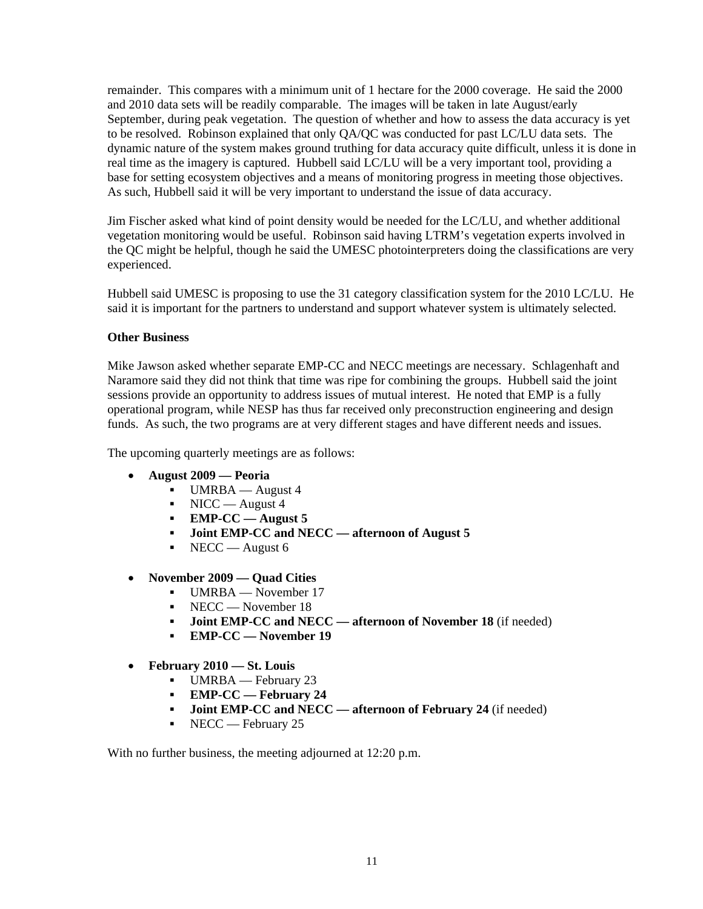remainder. This compares with a minimum unit of 1 hectare for the 2000 coverage. He said the 2000 and 2010 data sets will be readily comparable. The images will be taken in late August/early September, during peak vegetation. The question of whether and how to assess the data accuracy is yet to be resolved. Robinson explained that only QA/QC was conducted for past LC/LU data sets. The dynamic nature of the system makes ground truthing for data accuracy quite difficult, unless it is done in real time as the imagery is captured. Hubbell said LC/LU will be a very important tool, providing a base for setting ecosystem objectives and a means of monitoring progress in meeting those objectives. As such, Hubbell said it will be very important to understand the issue of data accuracy.

Jim Fischer asked what kind of point density would be needed for the LC/LU, and whether additional vegetation monitoring would be useful. Robinson said having LTRM's vegetation experts involved in the QC might be helpful, though he said the UMESC photointerpreters doing the classifications are very experienced.

Hubbell said UMESC is proposing to use the 31 category classification system for the 2010 LC/LU. He said it is important for the partners to understand and support whatever system is ultimately selected.

## **Other Business**

Mike Jawson asked whether separate EMP-CC and NECC meetings are necessary. Schlagenhaft and Naramore said they did not think that time was ripe for combining the groups. Hubbell said the joint sessions provide an opportunity to address issues of mutual interest. He noted that EMP is a fully operational program, while NESP has thus far received only preconstruction engineering and design funds. As such, the two programs are at very different stages and have different needs and issues.

The upcoming quarterly meetings are as follows:

- **August 2009 — Peoria**
	- $\blacksquare$  UMRBA August 4
	- $\blacksquare$  NICC August 4
	- **EMP-CC — August 5**
	- **Joint EMP-CC and NECC — afternoon of August 5**
	- $\blacksquare$  NECC August 6
- **November 2009 — Quad Cities**
	- UMRBA November 17
	- NECC November 18
	- **Joint EMP-CC and NECC — afternoon of November 18** (if needed)
	- **EMP-CC — November 19**
- **February 2010 — St. Louis**
	- UMRBA February 23
	- **EMP-CC — February 24**
	- **Joint EMP-CC and NECC — afternoon of February 24** (if needed)
	- $\blacksquare$  NECC February 25

With no further business, the meeting adjourned at 12:20 p.m.